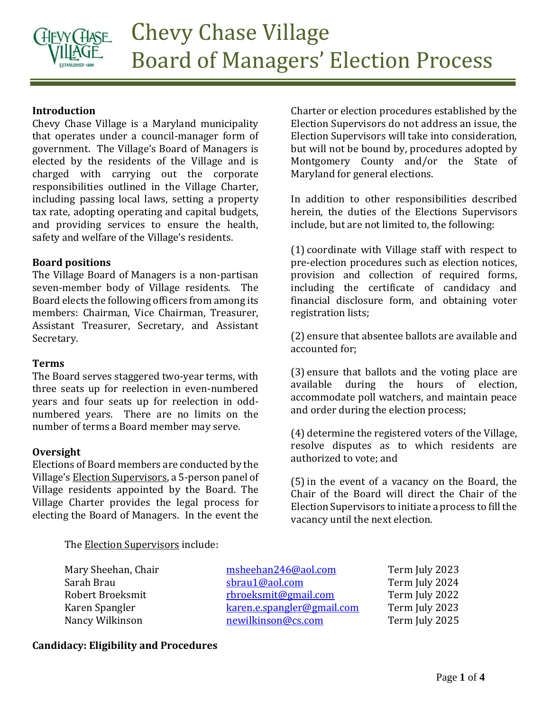

## **Introduction**

Chevy Chase Village is a Maryland municipality that operates under a council-manager form of government. The Village's Board of Managers is elected by the residents of the Village and is charged with carrying out the corporate responsibilities outlined in the Village Charter, including passing local laws, setting a property tax rate, adopting operating and capital budgets, and providing services to ensure the health, safety and welfare of the Village's residents.

### **Board positions**

The Village Board of Managers is a non-partisan seven-member body of Village residents. The Board elects the following officers from among its members: Chairman, Vice Chairman, Treasurer, Assistant Treasurer, Secretary, and Assistant Secretary.

### **Terms**

The Board serves staggered two-year terms, with three seats up for reelection in even-numbered years and four seats up for reelection in oddnumbered years. There are no limits on the number of terms a Board member may serve.

### **Oversight**

Elections of Board members are conducted by the Village's Election Supervisors, a 5-person panel of Village residents appointed by the Board. The Village Charter provides the legal process for electing the Board of Managers. In the event the

Charter or election procedures established by the Election Supervisors do not address an issue, the Election Supervisors will take into consideration, but will not be bound by, procedures adopted by Montgomery County and/or the State of Maryland for general elections.

In addition to other responsibilities described herein, the duties of the Elections Supervisors include, but are not limited to, the following:

(1) coordinate with Village staff with respect to pre-election procedures such as election notices, provision and collection of required forms, including the certificate of candidacy and financial disclosure form, and obtaining voter registration lists;

(2) ensure that absentee ballots are available and accounted for;

(3) ensure that ballots and the voting place are available during the hours of election, accommodate poll watchers, and maintain peace and order during the election process;

(4) determine the registered voters of the Village, resolve disputes as to which residents are authorized to vote; and

(5)in the event of a vacancy on the Board, the Chair of the Board will direct the Chair of the Election Supervisors to initiate a process to fill the vacancy until the next election.

The Election Supervisors include:

Mary Sheehan, Chair [msheehan246@aol.com](mailto:msheehan246@aol.com) Term July 2023 Sarah Brau Sarah Brau Shrau1@aol.com Term July 2024 Robert Broeksmit [rbroeksmit@gmail.com](mailto:rbroeksmit@gmail.com) Term July 2022 Karen Spangler [karen.e.spangler@gmail.com](mailto:karen.e.spangler@gmail.com) Term July 2023 Nancy Wilkinson **[newilkinson@cs.com](mailto:newilkinson@cs.com)** Term July 2025

### **Candidacy: Eligibility and Procedures**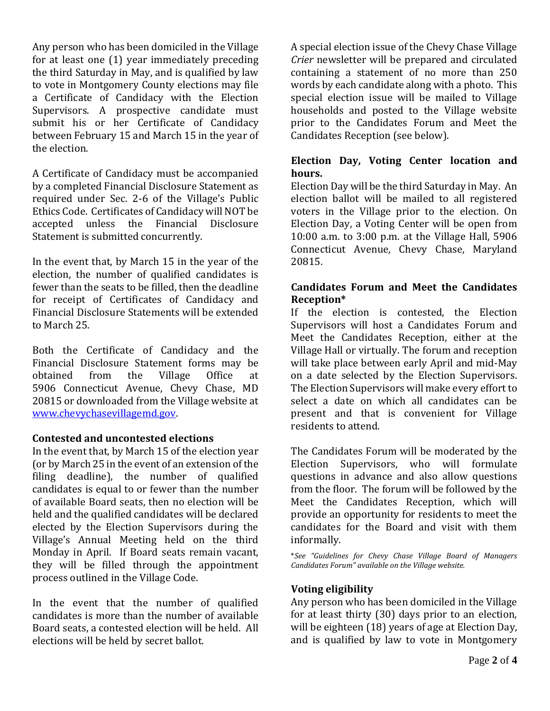Any person who has been domiciled in the Village for at least one (1) year immediately preceding the third Saturday in May, and is qualified by law to vote in Montgomery County elections may file a Certificate of Candidacy with the Election Supervisors. A prospective candidate must submit his or her Certificate of Candidacy between February 15 and March 15 in the year of the election.

A Certificate of Candidacy must be accompanied by a completed Financial Disclosure Statement as required under Sec. 2-6 of the Village's Public Ethics Code. Certificates of Candidacy will NOT be accepted unless the Financial Disclosure Statement is submitted concurrently.

In the event that, by March 15 in the year of the election, the number of qualified candidates is fewer than the seats to be filled, then the deadline for receipt of Certificates of Candidacy and Financial Disclosure Statements will be extended to March 25.

Both the Certificate of Candidacy and the Financial Disclosure Statement forms may be obtained from the Village Office at 5906 Connecticut Avenue, Chevy Chase, MD 20815 or downloaded from the Village website at [www.chevychasevillagemd.gov.](http://www.chevychasevillagemd.gov/)

## **Contested and uncontested elections**

In the event that, by March 15 of the election year (or by March 25 in the event of an extension of the filing deadline), the number of qualified candidates is equal to or fewer than the number of available Board seats, then no election will be held and the qualified candidates will be declared elected by the Election Supervisors during the Village's Annual Meeting held on the third Monday in April. If Board seats remain vacant, they will be filled through the appointment process outlined in the Village Code.

In the event that the number of qualified candidates is more than the number of available Board seats, a contested election will be held. All elections will be held by secret ballot.

A special election issue of the Chevy Chase Village *Crier* newsletter will be prepared and circulated containing a statement of no more than 250 words by each candidate along with a photo. This special election issue will be mailed to Village households and posted to the Village website prior to the Candidates Forum and Meet the Candidates Reception (see below).

# **Election Day, Voting Center location and hours.**

Election Day will be the third Saturday in May. An election ballot will be mailed to all registered voters in the Village prior to the election. On Election Day, a Voting Center will be open from 10:00 a.m. to 3:00 p.m. at the Village Hall, 5906 Connecticut Avenue, Chevy Chase, Maryland 20815.

## **Candidates Forum and Meet the Candidates Reception\***

If the election is contested, the Election Supervisors will host a Candidates Forum and Meet the Candidates Reception, either at the Village Hall or virtually. The forum and reception will take place between early April and mid-May on a date selected by the Election Supervisors. The Election Supervisors will make every effort to select a date on which all candidates can be present and that is convenient for Village residents to attend.

The Candidates Forum will be moderated by the Election Supervisors, who will formulate questions in advance and also allow questions from the floor. The forum will be followed by the Meet the Candidates Reception, which will provide an opportunity for residents to meet the candidates for the Board and visit with them informally.

\**See "Guidelines for Chevy Chase Village Board of Managers Candidates Forum" available on the Village website.*

# **Voting eligibility**

Any person who has been domiciled in the Village for at least thirty (30) days prior to an election, will be eighteen (18) years of age at Election Day, and is qualified by law to vote in Montgomery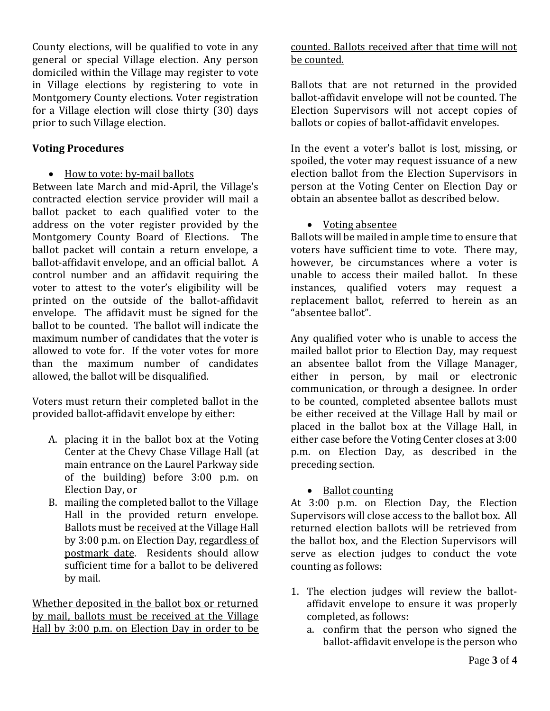County elections, will be qualified to vote in any general or special Village election. Any person domiciled within the Village may register to vote in Village elections by registering to vote in Montgomery County elections. Voter registration for a Village election will close thirty (30) days prior to such Village election.

## **Voting Procedures**

• How to vote: by-mail ballots

Between late March and mid-April, the Village's contracted election service provider will mail a ballot packet to each qualified voter to the address on the voter register provided by the Montgomery County Board of Elections. The ballot packet will contain a return envelope, a ballot-affidavit envelope, and an official ballot. A control number and an affidavit requiring the voter to attest to the voter's eligibility will be printed on the outside of the ballot-affidavit envelope. The affidavit must be signed for the ballot to be counted. The ballot will indicate the maximum number of candidates that the voter is allowed to vote for. If the voter votes for more than the maximum number of candidates allowed, the ballot will be disqualified.

Voters must return their completed ballot in the provided ballot-affidavit envelope by either:

- A. placing it in the ballot box at the Voting Center at the Chevy Chase Village Hall (at main entrance on the Laurel Parkway side of the building) before 3:00 p.m. on Election Day, or
- B. mailing the completed ballot to the Village Hall in the provided return envelope. Ballots must be received at the Village Hall by 3:00 p.m. on Election Day, regardless of postmark date. Residents should allow sufficient time for a ballot to be delivered by mail.

Whether deposited in the ballot box or returned by mail, ballots must be received at the Village Hall by 3:00 p.m. on Election Day in order to be

# counted. Ballots received after that time will not be counted.

Ballots that are not returned in the provided ballot-affidavit envelope will not be counted. The Election Supervisors will not accept copies of ballots or copies of ballot-affidavit envelopes.

In the event a voter's ballot is lost, missing, or spoiled, the voter may request issuance of a new election ballot from the Election Supervisors in person at the Voting Center on Election Day or obtain an absentee ballot as described below.

## • Voting absentee

Ballots will be mailed in ample time to ensure that voters have sufficient time to vote. There may, however, be circumstances where a voter is unable to access their mailed ballot. In these instances, qualified voters may request a replacement ballot, referred to herein as an "absentee ballot".

Any qualified voter who is unable to access the mailed ballot prior to Election Day, may request an absentee ballot from the Village Manager, either in person, by mail or electronic communication, or through a designee. In order to be counted, completed absentee ballots must be either received at the Village Hall by mail or placed in the ballot box at the Village Hall, in either case before the Voting Center closes at 3:00 p.m. on Election Day, as described in the preceding section.

## • Ballot counting

At 3:00 p.m. on Election Day, the Election Supervisors will close access to the ballot box. All returned election ballots will be retrieved from the ballot box, and the Election Supervisors will serve as election judges to conduct the vote counting as follows:

- 1. The election judges will review the ballotaffidavit envelope to ensure it was properly completed, as follows:
	- a. confirm that the person who signed the ballot-affidavit envelope is the person who